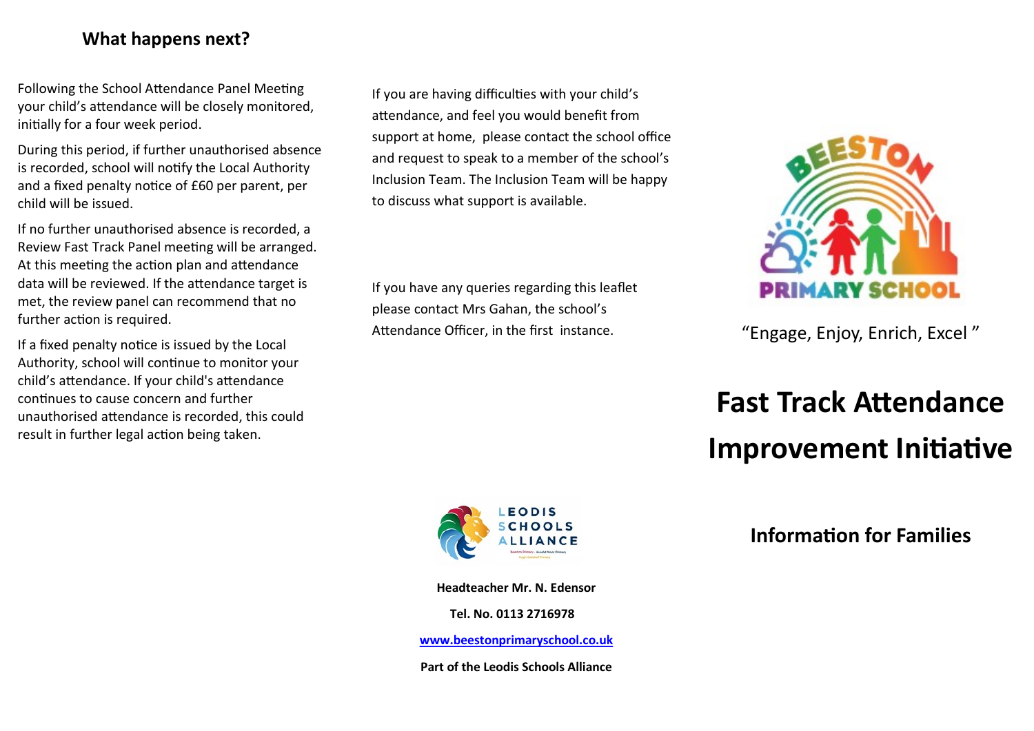#### **What happens next?**

Following the School Attendance Panel Meeting your child's attendance will be closely monitored, initially for a four week period.

During this period, if further unauthorised absence is recorded, school will notify the Local Authority and a fixed penalty notice of £60 per parent, per child will be issued.

If no further unauthorised absence is recorded, a Review Fast Track Panel meeting will be arranged. At this meeting the action plan and attendance data will be reviewed. If the attendance target is met, the review panel can recommend that no further action is required.

If a fixed penalty notice is issued by the Local Authority, school will continue to monitor your child's attendance. If your child's attendance continues to cause concern and further unauthorised attendance is recorded, this could result in further legal action being taken.

If you are having difficulties with your child's attendance, and feel you would benefit from support at home, please contact the school office and request to speak to a member of the school's Inclusion Team. The Inclusion Team will be happy to discuss what support is available.

If you have any queries regarding this leaflet please contact Mrs Gahan, the school's Attendance Officer, in the first instance.



**Headteacher Mr. N. Edensor**

**Tel. No. 0113 2716978**

**[www.beestonprimaryschool.co.uk](http://www.beestonprimaryschool.co.uk)**

**Part of the Leodis Schools Alliance**



#### "Engage, Enjoy, Enrich, Excel "

# **Fast Track Attendance Improvement Initiative**

**Information for Families**